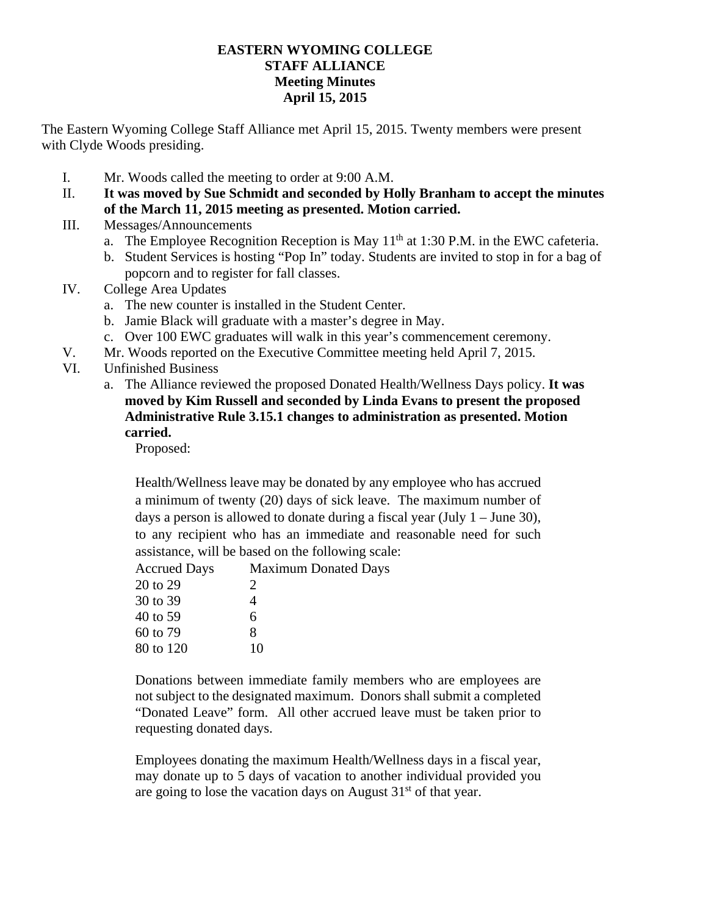## **EASTERN WYOMING COLLEGE STAFF ALLIANCE Meeting Minutes April 15, 2015**

The Eastern Wyoming College Staff Alliance met April 15, 2015. Twenty members were present with Clyde Woods presiding.

- I. Mr. Woods called the meeting to order at 9:00 A.M.
- II. **It was moved by Sue Schmidt and seconded by Holly Branham to accept the minutes of the March 11, 2015 meeting as presented. Motion carried.**
- III. Messages/Announcements
	- a. The Employee Recognition Reception is May  $11<sup>th</sup>$  at 1:30 P.M. in the EWC cafeteria.
	- b. Student Services is hosting "Pop In" today. Students are invited to stop in for a bag of popcorn and to register for fall classes.
- IV. College Area Updates
	- a. The new counter is installed in the Student Center.
	- b. Jamie Black will graduate with a master's degree in May.
	- c. Over 100 EWC graduates will walk in this year's commencement ceremony.
- V. Mr. Woods reported on the Executive Committee meeting held April 7, 2015.
- VI. Unfinished Business
	- a. The Alliance reviewed the proposed Donated Health/Wellness Days policy. **It was moved by Kim Russell and seconded by Linda Evans to present the proposed Administrative Rule 3.15.1 changes to administration as presented. Motion carried.**

Proposed:

Health/Wellness leave may be donated by any employee who has accrued a minimum of twenty (20) days of sick leave. The maximum number of days a person is allowed to donate during a fiscal year (July 1 – June 30), to any recipient who has an immediate and reasonable need for such assistance, will be based on the following scale:

| <b>Accrued Days</b> | <b>Maximum Donated Days</b> |
|---------------------|-----------------------------|
| 20 to 29            | $\mathcal{D}_{\cdot}$       |
| 30 to 39            |                             |
| 40 to 59            | 6                           |
| 60 to 79            | 8                           |
| 80 to 120           | 10                          |
|                     |                             |

Donations between immediate family members who are employees are not subject to the designated maximum. Donors shall submit a completed "Donated Leave" form. All other accrued leave must be taken prior to requesting donated days.

Employees donating the maximum Health/Wellness days in a fiscal year, may donate up to 5 days of vacation to another individual provided you are going to lose the vacation days on August  $31<sup>st</sup>$  of that year.